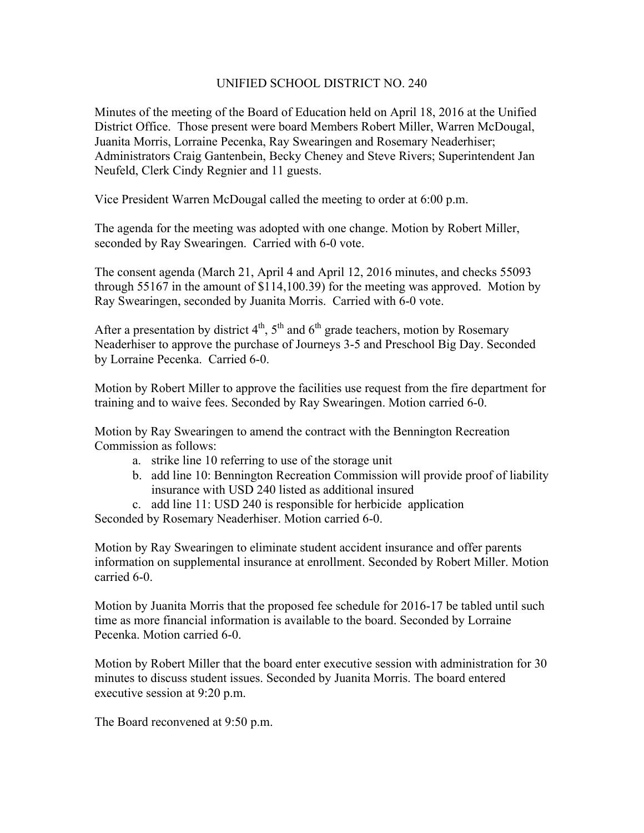## UNIFIED SCHOOL DISTRICT NO. 240

Minutes of the meeting of the Board of Education held on April 18, 2016 at the Unified District Office. Those present were board Members Robert Miller, Warren McDougal, Juanita Morris, Lorraine Pecenka, Ray Swearingen and Rosemary Neaderhiser; Administrators Craig Gantenbein, Becky Cheney and Steve Rivers; Superintendent Jan Neufeld, Clerk Cindy Regnier and 11 guests.

Vice President Warren McDougal called the meeting to order at 6:00 p.m.

The agenda for the meeting was adopted with one change. Motion by Robert Miller, seconded by Ray Swearingen. Carried with 6-0 vote.

The consent agenda (March 21, April 4 and April 12, 2016 minutes, and checks 55093 through 55167 in the amount of \$114,100.39) for the meeting was approved. Motion by Ray Swearingen, seconded by Juanita Morris. Carried with 6-0 vote.

After a presentation by district  $4<sup>th</sup>$ ,  $5<sup>th</sup>$  and  $6<sup>th</sup>$  grade teachers, motion by Rosemary Neaderhiser to approve the purchase of Journeys 3-5 and Preschool Big Day. Seconded by Lorraine Pecenka. Carried 6-0.

Motion by Robert Miller to approve the facilities use request from the fire department for training and to waive fees. Seconded by Ray Swearingen. Motion carried 6-0.

Motion by Ray Swearingen to amend the contract with the Bennington Recreation Commission as follows:

- a. strike line 10 referring to use of the storage unit
- b. add line 10: Bennington Recreation Commission will provide proof of liability insurance with USD 240 listed as additional insured
- c. add line 11: USD 240 is responsible for herbicide application

Seconded by Rosemary Neaderhiser. Motion carried 6-0.

Motion by Ray Swearingen to eliminate student accident insurance and offer parents information on supplemental insurance at enrollment. Seconded by Robert Miller. Motion carried 6-0.

Motion by Juanita Morris that the proposed fee schedule for 2016-17 be tabled until such time as more financial information is available to the board. Seconded by Lorraine Pecenka. Motion carried 6-0.

Motion by Robert Miller that the board enter executive session with administration for 30 minutes to discuss student issues. Seconded by Juanita Morris. The board entered executive session at 9:20 p.m.

The Board reconvened at 9:50 p.m.